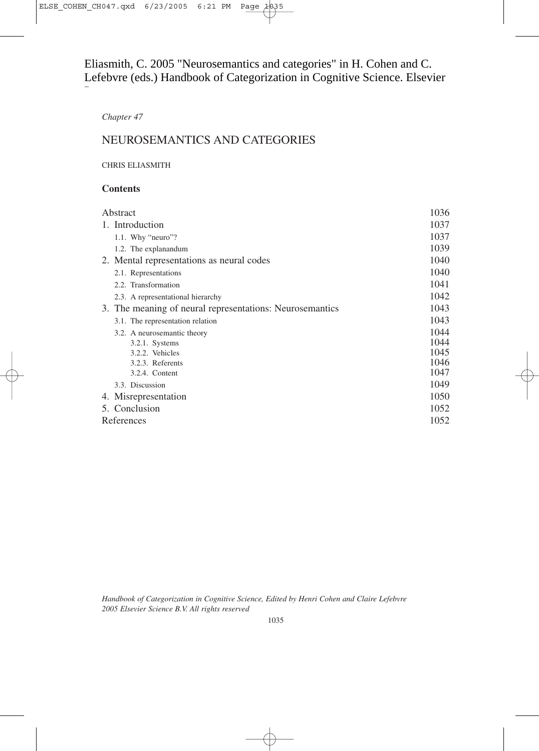# Eliasmith, C. 2005 "Neurosemantics and categories" in H. Cohen and C. Lefebvre (eds.) Handbook of Categorization in Cognitive Science. Elsevier Press.

*Chapter 47*

# NEUROSEMANTICS AND CATEGORIES

CHRIS ELIASMITH

## **Contents**

| Abstract                                                 | 1036 |
|----------------------------------------------------------|------|
| 1. Introduction                                          | 1037 |
| 1.1. Why "neuro"?                                        | 1037 |
| 1.2. The explanandum                                     | 1039 |
| 2. Mental representations as neural codes                | 1040 |
| 2.1. Representations                                     | 1040 |
| 2.2. Transformation                                      | 1041 |
| 2.3. A representational hierarchy                        | 1042 |
| 3. The meaning of neural representations: Neurosemantics | 1043 |
| 3.1. The representation relation                         | 1043 |
| 3.2. A neurosemantic theory                              | 1044 |
| 3.2.1. Systems                                           | 1044 |
| 3.2.2. Vehicles                                          | 1045 |
| 3.2.3. Referents                                         | 1046 |
| 3.2.4. Content                                           | 1047 |
| 3.3. Discussion                                          | 1049 |
| 4. Misrepresentation                                     | 1050 |
| 5. Conclusion                                            | 1052 |
| References                                               | 1052 |

*Handbook of Categorization in Cognitive Science, Edited by Henri Cohen and Claire Lefebvre 2005 Elsevier Science B.V. All rights reserved*

1035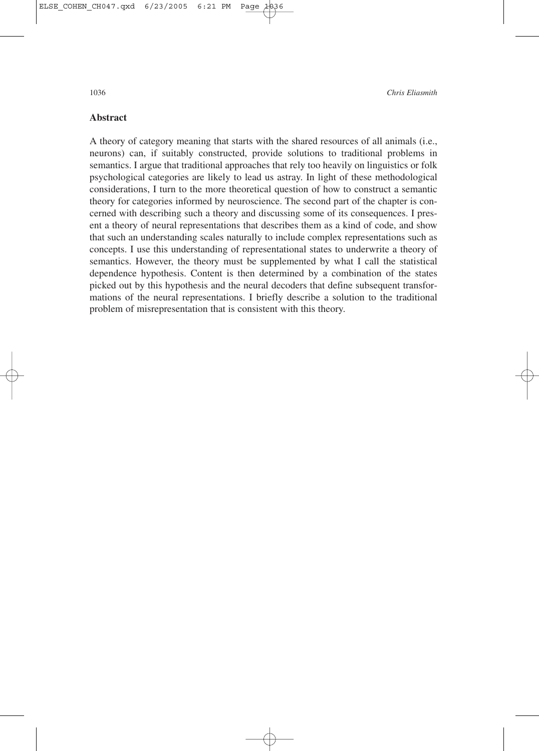## **Abstract**

A theory of category meaning that starts with the shared resources of all animals (i.e., neurons) can, if suitably constructed, provide solutions to traditional problems in semantics. I argue that traditional approaches that rely too heavily on linguistics or folk psychological categories are likely to lead us astray. In light of these methodological considerations, I turn to the more theoretical question of how to construct a semantic theory for categories informed by neuroscience. The second part of the chapter is concerned with describing such a theory and discussing some of its consequences. I present a theory of neural representations that describes them as a kind of code, and show that such an understanding scales naturally to include complex representations such as concepts. I use this understanding of representational states to underwrite a theory of semantics. However, the theory must be supplemented by what I call the statistical dependence hypothesis. Content is then determined by a combination of the states picked out by this hypothesis and the neural decoders that define subsequent transformations of the neural representations. I briefly describe a solution to the traditional problem of misrepresentation that is consistent with this theory.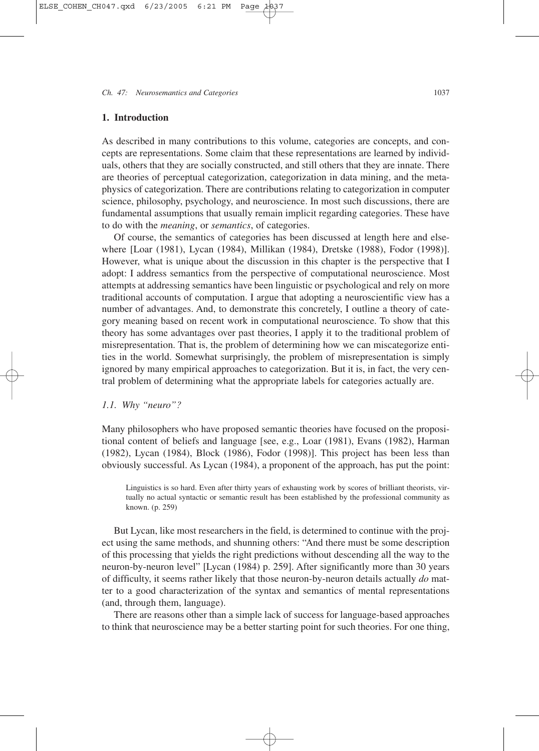As described in many contributions to this volume, categories are concepts, and concepts are representations. Some claim that these representations are learned by individuals, others that they are socially constructed, and still others that they are innate. There are theories of perceptual categorization, categorization in data mining, and the metaphysics of categorization. There are contributions relating to categorization in computer science, philosophy, psychology, and neuroscience. In most such discussions, there are fundamental assumptions that usually remain implicit regarding categories. These have to do with the *meaning*, or *semantics*, of categories.

Of course, the semantics of categories has been discussed at length here and elsewhere [Loar (1981), Lycan (1984), Millikan (1984), Dretske (1988), Fodor (1998)]. However, what is unique about the discussion in this chapter is the perspective that I adopt: I address semantics from the perspective of computational neuroscience. Most attempts at addressing semantics have been linguistic or psychological and rely on more traditional accounts of computation. I argue that adopting a neuroscientific view has a number of advantages. And, to demonstrate this concretely, I outline a theory of category meaning based on recent work in computational neuroscience. To show that this theory has some advantages over past theories, I apply it to the traditional problem of misrepresentation. That is, the problem of determining how we can miscategorize entities in the world. Somewhat surprisingly, the problem of misrepresentation is simply ignored by many empirical approaches to categorization. But it is, in fact, the very central problem of determining what the appropriate labels for categories actually are.

*1.1. Why "neuro"?*

Many philosophers who have proposed semantic theories have focused on the propositional content of beliefs and language [see, e.g., Loar (1981), Evans (1982), Harman (1982), Lycan (1984), Block (1986), Fodor (1998)]. This project has been less than obviously successful. As Lycan (1984), a proponent of the approach, has put the point:

Linguistics is so hard. Even after thirty years of exhausting work by scores of brilliant theorists, virtually no actual syntactic or semantic result has been established by the professional community as known. (p. 259)

But Lycan, like most researchers in the field, is determined to continue with the project using the same methods, and shunning others: "And there must be some description of this processing that yields the right predictions without descending all the way to the neuron-by-neuron level" [Lycan (1984) p. 259]. After significantly more than 30 years of difficulty, it seems rather likely that those neuron-by-neuron details actually *do* matter to a good characterization of the syntax and semantics of mental representations (and, through them, language).

There are reasons other than a simple lack of success for language-based approaches to think that neuroscience may be a better starting point for such theories. For one thing,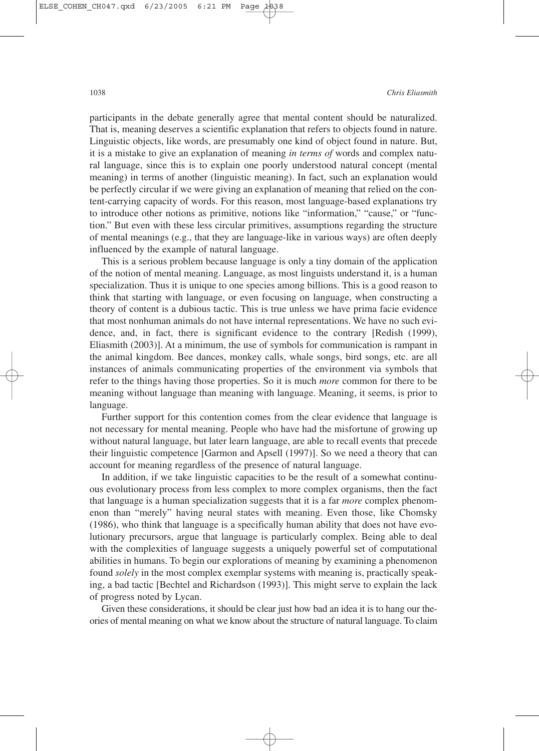participants in the debate generally agree that mental content should be naturalized. That is, meaning deserves a scientific explanation that refers to objects found in nature. Linguistic objects, like words, are presumably one kind of object found in nature. But, it is a mistake to give an explanation of meaning *in terms of* words and complex natural language, since this is to explain one poorly understood natural concept (mental meaning) in terms of another (linguistic meaning). In fact, such an explanation would be perfectly circular if we were giving an explanation of meaning that relied on the content-carrying capacity of words. For this reason, most language-based explanations try to introduce other notions as primitive, notions like "information," "cause," or "function." But even with these less circular primitives, assumptions regarding the structure of mental meanings (e.g., that they are language-like in various ways) are often deeply influenced by the example of natural language.

This is a serious problem because language is only a tiny domain of the application of the notion of mental meaning. Language, as most linguists understand it, is a human specialization. Thus it is unique to one species among billions. This is a good reason to think that starting with language, or even focusing on language, when constructing a theory of content is a dubious tactic. This is true unless we have prima facie evidence that most nonhuman animals do not have internal representations. We have no such evidence, and, in fact, there is significant evidence to the contrary [Redish (1999), Eliasmith (2003)]. At a minimum, the use of symbols for communication is rampant in the animal kingdom. Bee dances, monkey calls, whale songs, bird songs, etc. are all instances of animals communicating properties of the environment via symbols that refer to the things having those properties. So it is much *more* common for there to be meaning without language than meaning with language. Meaning, it seems, is prior to language.

Further support for this contention comes from the clear evidence that language is not necessary for mental meaning. People who have had the misfortune of growing up without natural language, but later learn language, are able to recall events that precede their linguistic competence [Garmon and Apsell (1997)]. So we need a theory that can account for meaning regardless of the presence of natural language.

In addition, if we take linguistic capacities to be the result of a somewhat continuous evolutionary process from less complex to more complex organisms, then the fact that language is a human specialization suggests that it is a far *more* complex phenomenon than "merely" having neural states with meaning. Even those, like Chomsky (1986), who think that language is a specifically human ability that does not have evolutionary precursors, argue that language is particularly complex. Being able to deal with the complexities of language suggests a uniquely powerful set of computational abilities in humans. To begin our explorations of meaning by examining a phenomenon found *solely* in the most complex exemplar systems with meaning is, practically speaking, a bad tactic [Bechtel and Richardson (1993)]. This might serve to explain the lack of progress noted by Lycan.

Given these considerations, it should be clear just how bad an idea it is to hang our theories of mental meaning on what we know about the structure of natural language. To claim

ELSE\_COHEN\_CH047.qxd 6/23/2005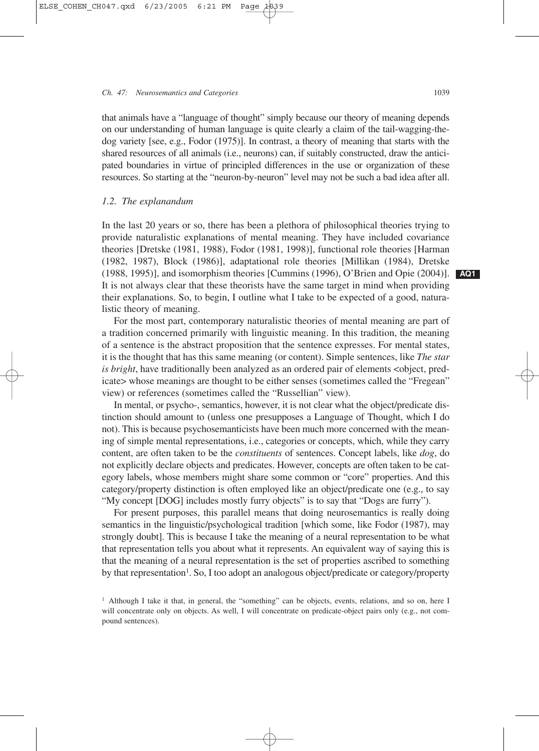that animals have a "language of thought" simply because our theory of meaning depends on our understanding of human language is quite clearly a claim of the tail-wagging-thedog variety [see, e.g., Fodor (1975)]. In contrast, a theory of meaning that starts with the shared resources of all animals (i.e., neurons) can, if suitably constructed, draw the anticipated boundaries in virtue of principled differences in the use or organization of these resources. So starting at the "neuron-by-neuron" level may not be such a bad idea after all.

#### *1.2. The explanandum*

In the last 20 years or so, there has been a plethora of philosophical theories trying to provide naturalistic explanations of mental meaning. They have included covariance theories [Dretske (1981, 1988), Fodor (1981, 1998)], functional role theories [Harman (1982, 1987), Block (1986)], adaptational role theories [Millikan (1984), Dretske (1988, 1995)], and isomorphism theories [Cummins (1996), O'Brien and Opie (2004)]. **AQ1** It is not always clear that these theorists have the same target in mind when providing their explanations. So, to begin, I outline what I take to be expected of a good, naturalistic theory of meaning.

For the most part, contemporary naturalistic theories of mental meaning are part of a tradition concerned primarily with linguistic meaning. In this tradition, the meaning of a sentence is the abstract proposition that the sentence expresses. For mental states, it is the thought that has this same meaning (or content). Simple sentences, like *The star is bright*, have traditionally been analyzed as an ordered pair of elements <object, predicate> whose meanings are thought to be either senses (sometimes called the "Fregean" view) or references (sometimes called the "Russellian" view).

In mental, or psycho-, semantics, however, it is not clear what the object/predicate distinction should amount to (unless one presupposes a Language of Thought, which I do not). This is because psychosemanticists have been much more concerned with the meaning of simple mental representations, i.e., categories or concepts, which, while they carry content, are often taken to be the *constituents* of sentences. Concept labels, like *dog*, do not explicitly declare objects and predicates. However, concepts are often taken to be category labels, whose members might share some common or "core" properties. And this category/property distinction is often employed like an object/predicate one (e.g., to say "My concept [DOG] includes mostly furry objects" is to say that "Dogs are furry").

For present purposes, this parallel means that doing neurosemantics is really doing semantics in the linguistic/psychological tradition [which some, like Fodor (1987), may strongly doubt]. This is because I take the meaning of a neural representation to be what that representation tells you about what it represents. An equivalent way of saying this is that the meaning of a neural representation is the set of properties ascribed to something by that representation<sup>1</sup>. So, I too adopt an analogous object/predicate or category/property

<sup>&</sup>lt;sup>1</sup> Although I take it that, in general, the "something" can be objects, events, relations, and so on, here I will concentrate only on objects. As well, I will concentrate on predicate-object pairs only (e.g., not compound sentences).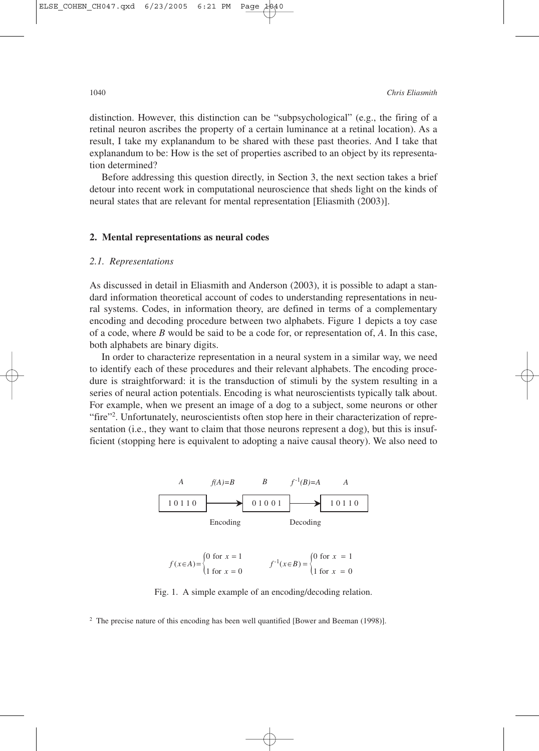distinction. However, this distinction can be "subpsychological" (e.g., the firing of a retinal neuron ascribes the property of a certain luminance at a retinal location). As a result, I take my explanandum to be shared with these past theories. And I take that explanandum to be: How is the set of properties ascribed to an object by its representation determined?

Before addressing this question directly, in Section 3, the next section takes a brief detour into recent work in computational neuroscience that sheds light on the kinds of neural states that are relevant for mental representation [Eliasmith (2003)].

## **2. Mental representations as neural codes**

#### *2.1. Representations*

As discussed in detail in Eliasmith and Anderson (2003), it is possible to adapt a standard information theoretical account of codes to understanding representations in neural systems. Codes, in information theory, are defined in terms of a complementary encoding and decoding procedure between two alphabets. Figure 1 depicts a toy case of a code, where *B* would be said to be a code for, or representation of, *A*. In this case, both alphabets are binary digits.

In order to characterize representation in a neural system in a similar way, we need to identify each of these procedures and their relevant alphabets. The encoding procedure is straightforward: it is the transduction of stimuli by the system resulting in a series of neural action potentials. Encoding is what neuroscientists typically talk about. For example, when we present an image of a dog to a subject, some neurons or other "fire"<sup>2</sup>. Unfortunately, neuroscientists often stop here in their characterization of representation (i.e., they want to claim that those neurons represent a dog), but this is insufficient (stopping here is equivalent to adopting a naive causal theory). We also need to



Fig. 1. A simple example of an encoding/decoding relation.

<sup>2</sup> The precise nature of this encoding has been well quantified [Bower and Beeman (1998)].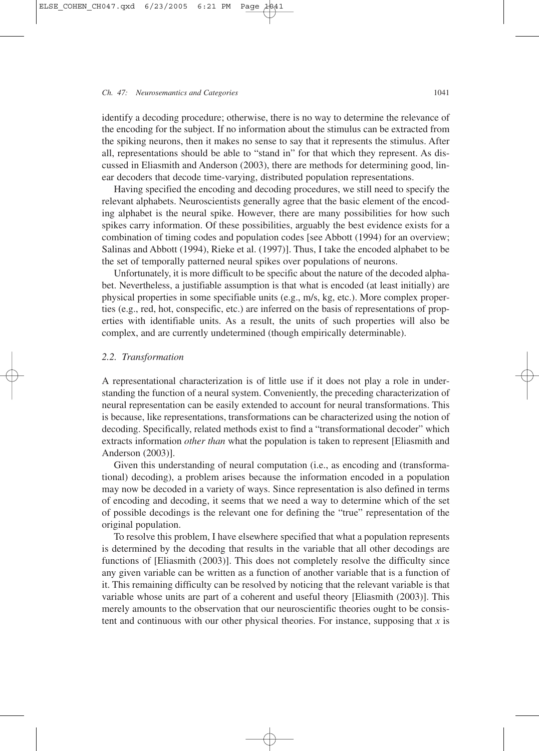identify a decoding procedure; otherwise, there is no way to determine the relevance of the encoding for the subject. If no information about the stimulus can be extracted from the spiking neurons, then it makes no sense to say that it represents the stimulus. After all, representations should be able to "stand in" for that which they represent. As discussed in Eliasmith and Anderson (2003), there are methods for determining good, linear decoders that decode time-varying, distributed population representations.

Having specified the encoding and decoding procedures, we still need to specify the relevant alphabets. Neuroscientists generally agree that the basic element of the encoding alphabet is the neural spike. However, there are many possibilities for how such spikes carry information. Of these possibilities, arguably the best evidence exists for a combination of timing codes and population codes [see Abbott (1994) for an overview; Salinas and Abbott (1994), Rieke et al. (1997)]. Thus, I take the encoded alphabet to be the set of temporally patterned neural spikes over populations of neurons.

Unfortunately, it is more difficult to be specific about the nature of the decoded alphabet. Nevertheless, a justifiable assumption is that what is encoded (at least initially) are physical properties in some specifiable units (e.g., m/s, kg, etc.). More complex properties (e.g., red, hot, conspecific, etc.) are inferred on the basis of representations of properties with identifiable units. As a result, the units of such properties will also be complex, and are currently undetermined (though empirically determinable).

### *2.2. Transformation*

A representational characterization is of little use if it does not play a role in understanding the function of a neural system. Conveniently, the preceding characterization of neural representation can be easily extended to account for neural transformations. This is because, like representations, transformations can be characterized using the notion of decoding. Specifically, related methods exist to find a "transformational decoder" which extracts information *other than* what the population is taken to represent [Eliasmith and Anderson (2003)].

Given this understanding of neural computation (i.e., as encoding and (transformational) decoding), a problem arises because the information encoded in a population may now be decoded in a variety of ways. Since representation is also defined in terms of encoding and decoding, it seems that we need a way to determine which of the set of possible decodings is the relevant one for defining the "true" representation of the original population.

To resolve this problem, I have elsewhere specified that what a population represents is determined by the decoding that results in the variable that all other decodings are functions of [Eliasmith (2003)]. This does not completely resolve the difficulty since any given variable can be written as a function of another variable that is a function of it. This remaining difficulty can be resolved by noticing that the relevant variable is that variable whose units are part of a coherent and useful theory [Eliasmith (2003)]. This merely amounts to the observation that our neuroscientific theories ought to be consistent and continuous with our other physical theories. For instance, supposing that *x* is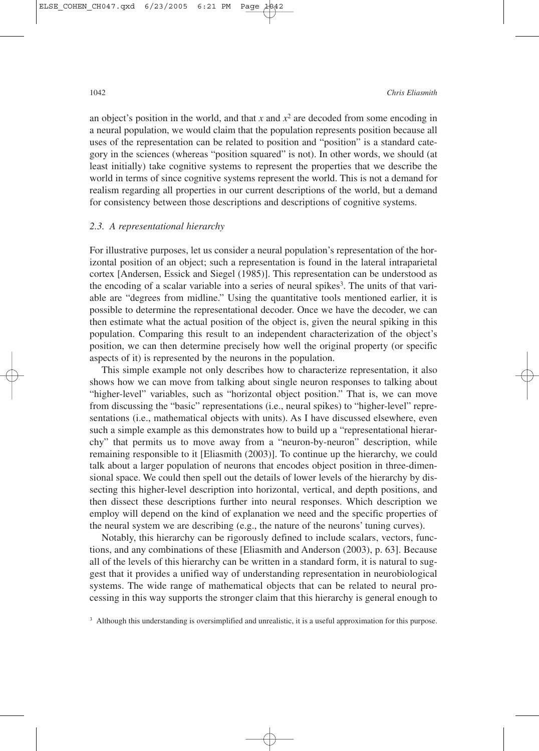an object's position in the world, and that x and  $x^2$  are decoded from some encoding in a neural population, we would claim that the population represents position because all uses of the representation can be related to position and "position" is a standard category in the sciences (whereas "position squared" is not). In other words, we should (at least initially) take cognitive systems to represent the properties that we describe the world in terms of since cognitive systems represent the world. This is not a demand for realism regarding all properties in our current descriptions of the world, but a demand for consistency between those descriptions and descriptions of cognitive systems.

## *2.3. A representational hierarchy*

ELSE\_COHEN\_CH047. $\alpha$ xd 6/23/2005

For illustrative purposes, let us consider a neural population's representation of the horizontal position of an object; such a representation is found in the lateral intraparietal cortex [Andersen, Essick and Siegel (1985)]. This representation can be understood as the encoding of a scalar variable into a series of neural spikes<sup>3</sup>. The units of that variable are "degrees from midline." Using the quantitative tools mentioned earlier, it is possible to determine the representational decoder. Once we have the decoder, we can then estimate what the actual position of the object is, given the neural spiking in this population. Comparing this result to an independent characterization of the object's position, we can then determine precisely how well the original property (or specific aspects of it) is represented by the neurons in the population.

This simple example not only describes how to characterize representation, it also shows how we can move from talking about single neuron responses to talking about "higher-level" variables, such as "horizontal object position." That is, we can move from discussing the "basic" representations (i.e., neural spikes) to "higher-level" representations (i.e., mathematical objects with units). As I have discussed elsewhere, even such a simple example as this demonstrates how to build up a "representational hierarchy" that permits us to move away from a "neuron-by-neuron" description, while remaining responsible to it [Eliasmith (2003)]. To continue up the hierarchy, we could talk about a larger population of neurons that encodes object position in three-dimensional space. We could then spell out the details of lower levels of the hierarchy by dissecting this higher-level description into horizontal, vertical, and depth positions, and then dissect these descriptions further into neural responses. Which description we employ will depend on the kind of explanation we need and the specific properties of the neural system we are describing (e.g., the nature of the neurons' tuning curves).

Notably, this hierarchy can be rigorously defined to include scalars, vectors, functions, and any combinations of these [Eliasmith and Anderson (2003), p. 63]. Because all of the levels of this hierarchy can be written in a standard form, it is natural to suggest that it provides a unified way of understanding representation in neurobiological systems. The wide range of mathematical objects that can be related to neural processing in this way supports the stronger claim that this hierarchy is general enough to

 $3$  Although this understanding is oversimplified and unrealistic, it is a useful approximation for this purpose.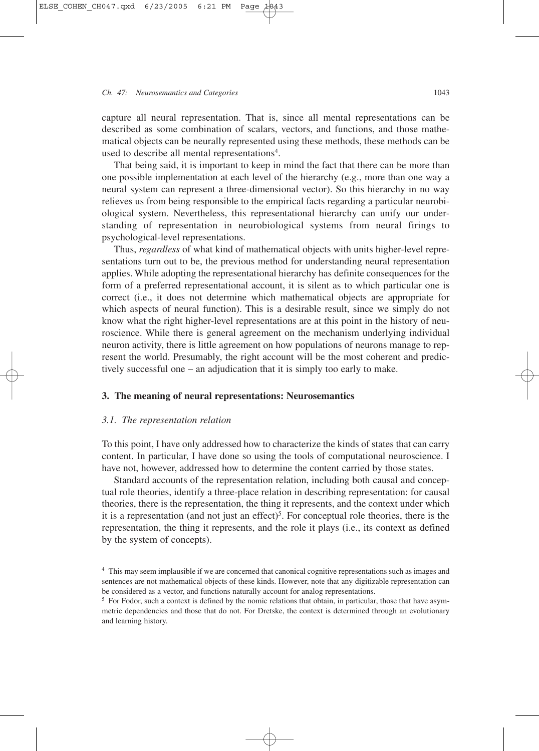capture all neural representation. That is, since all mental representations can be described as some combination of scalars, vectors, and functions, and those mathematical objects can be neurally represented using these methods, these methods can be used to describe all mental representations<sup>4</sup>.

That being said, it is important to keep in mind the fact that there can be more than one possible implementation at each level of the hierarchy (e.g., more than one way a neural system can represent a three-dimensional vector). So this hierarchy in no way relieves us from being responsible to the empirical facts regarding a particular neurobiological system. Nevertheless, this representational hierarchy can unify our understanding of representation in neurobiological systems from neural firings to psychological-level representations.

Thus, *regardless* of what kind of mathematical objects with units higher-level representations turn out to be, the previous method for understanding neural representation applies. While adopting the representational hierarchy has definite consequences for the form of a preferred representational account, it is silent as to which particular one is correct (i.e., it does not determine which mathematical objects are appropriate for which aspects of neural function). This is a desirable result, since we simply do not know what the right higher-level representations are at this point in the history of neuroscience. While there is general agreement on the mechanism underlying individual neuron activity, there is little agreement on how populations of neurons manage to represent the world. Presumably, the right account will be the most coherent and predictively successful one – an adjudication that it is simply too early to make.

### **3. The meaning of neural representations: Neurosemantics**

#### *3.1. The representation relation*

To this point, I have only addressed how to characterize the kinds of states that can carry content. In particular, I have done so using the tools of computational neuroscience. I have not, however, addressed how to determine the content carried by those states.

Standard accounts of the representation relation, including both causal and conceptual role theories, identify a three-place relation in describing representation: for causal theories, there is the representation, the thing it represents, and the context under which it is a representation (and not just an effect)<sup>5</sup>. For conceptual role theories, there is the representation, the thing it represents, and the role it plays (i.e., its context as defined by the system of concepts).

<sup>4</sup> This may seem implausible if we are concerned that canonical cognitive representations such as images and sentences are not mathematical objects of these kinds. However, note that any digitizable representation can be considered as a vector, and functions naturally account for analog representations.

<sup>&</sup>lt;sup>5</sup> For Fodor, such a context is defined by the nomic relations that obtain, in particular, those that have asymmetric dependencies and those that do not. For Dretske, the context is determined through an evolutionary and learning history.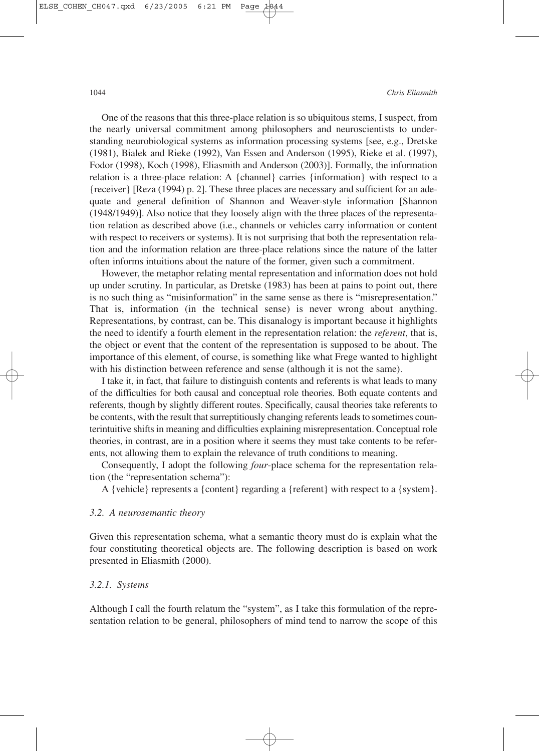One of the reasons that this three-place relation is so ubiquitous stems, I suspect, from the nearly universal commitment among philosophers and neuroscientists to understanding neurobiological systems as information processing systems [see, e.g., Dretske (1981), Bialek and Rieke (1992), Van Essen and Anderson (1995), Rieke et al. (1997), Fodor (1998), Koch (1998), Eliasmith and Anderson (2003)]. Formally, the information relation is a three-place relation: A {channel} carries {information} with respect to a {receiver} [Reza (1994) p. 2]. These three places are necessary and sufficient for an adequate and general definition of Shannon and Weaver-style information [Shannon (1948/1949)]. Also notice that they loosely align with the three places of the representation relation as described above (i.e., channels or vehicles carry information or content with respect to receivers or systems). It is not surprising that both the representation relation and the information relation are three-place relations since the nature of the latter often informs intuitions about the nature of the former, given such a commitment.

However, the metaphor relating mental representation and information does not hold up under scrutiny. In particular, as Dretske (1983) has been at pains to point out, there is no such thing as "misinformation" in the same sense as there is "misrepresentation." That is, information (in the technical sense) is never wrong about anything. Representations, by contrast, can be. This disanalogy is important because it highlights the need to identify a fourth element in the representation relation: the *referent*, that is, the object or event that the content of the representation is supposed to be about. The importance of this element, of course, is something like what Frege wanted to highlight with his distinction between reference and sense (although it is not the same).

I take it, in fact, that failure to distinguish contents and referents is what leads to many of the difficulties for both causal and conceptual role theories. Both equate contents and referents, though by slightly different routes. Specifically, causal theories take referents to be contents, with the result that surreptitiously changing referents leads to sometimes counterintuitive shifts in meaning and difficulties explaining misrepresentation. Conceptual role theories, in contrast, are in a position where it seems they must take contents to be referents, not allowing them to explain the relevance of truth conditions to meaning.

Consequently, I adopt the following *four*-place schema for the representation relation (the "representation schema"):

A {vehicle} represents a {content} regarding a {referent} with respect to a {system}.

## *3.2. A neurosemantic theory*

Given this representation schema, what a semantic theory must do is explain what the four constituting theoretical objects are. The following description is based on work presented in Eliasmith (2000).

### *3.2.1. Systems*

Although I call the fourth relatum the "system", as I take this formulation of the representation relation to be general, philosophers of mind tend to narrow the scope of this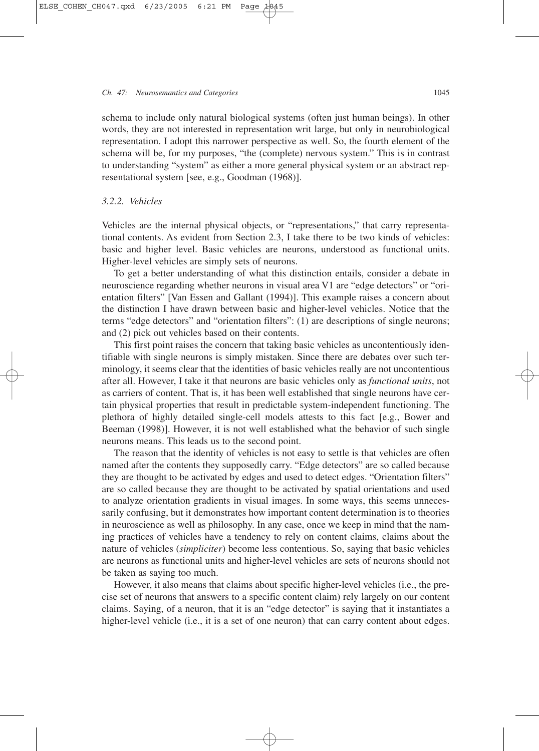schema to include only natural biological systems (often just human beings). In other words, they are not interested in representation writ large, but only in neurobiological representation. I adopt this narrower perspective as well. So, the fourth element of the schema will be, for my purposes, "the (complete) nervous system." This is in contrast to understanding "system" as either a more general physical system or an abstract representational system [see, e.g., Goodman (1968)].

## *3.2.2. Vehicles*

Vehicles are the internal physical objects, or "representations," that carry representational contents. As evident from Section 2.3, I take there to be two kinds of vehicles: basic and higher level. Basic vehicles are neurons, understood as functional units. Higher-level vehicles are simply sets of neurons.

To get a better understanding of what this distinction entails, consider a debate in neuroscience regarding whether neurons in visual area V1 are "edge detectors" or "orientation filters" [Van Essen and Gallant (1994)]. This example raises a concern about the distinction I have drawn between basic and higher-level vehicles. Notice that the terms "edge detectors" and "orientation filters": (1) are descriptions of single neurons; and (2) pick out vehicles based on their contents.

This first point raises the concern that taking basic vehicles as uncontentiously identifiable with single neurons is simply mistaken. Since there are debates over such terminology, it seems clear that the identities of basic vehicles really are not uncontentious after all. However, I take it that neurons are basic vehicles only as *functional units*, not as carriers of content. That is, it has been well established that single neurons have certain physical properties that result in predictable system-independent functioning. The plethora of highly detailed single-cell models attests to this fact [e.g., Bower and Beeman (1998)]. However, it is not well established what the behavior of such single neurons means. This leads us to the second point.

The reason that the identity of vehicles is not easy to settle is that vehicles are often named after the contents they supposedly carry. "Edge detectors" are so called because they are thought to be activated by edges and used to detect edges. "Orientation filters" are so called because they are thought to be activated by spatial orientations and used to analyze orientation gradients in visual images. In some ways, this seems unnecessarily confusing, but it demonstrates how important content determination is to theories in neuroscience as well as philosophy. In any case, once we keep in mind that the naming practices of vehicles have a tendency to rely on content claims, claims about the nature of vehicles (*simpliciter*) become less contentious. So, saying that basic vehicles are neurons as functional units and higher-level vehicles are sets of neurons should not be taken as saying too much.

However, it also means that claims about specific higher-level vehicles (i.e., the precise set of neurons that answers to a specific content claim) rely largely on our content claims. Saying, of a neuron, that it is an "edge detector" is saying that it instantiates a higher-level vehicle *(i.e., it is a set of one neuron)* that can carry content about edges.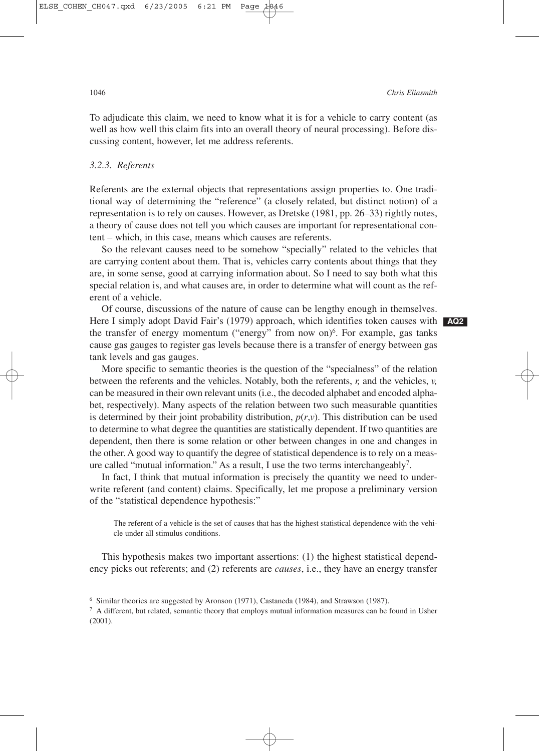To adjudicate this claim, we need to know what it is for a vehicle to carry content (as well as how well this claim fits into an overall theory of neural processing). Before discussing content, however, let me address referents.

## *3.2.3. Referents*

Referents are the external objects that representations assign properties to. One traditional way of determining the "reference" (a closely related, but distinct notion) of a representation is to rely on causes. However, as Dretske (1981, pp. 26–33) rightly notes, a theory of cause does not tell you which causes are important for representational content – which, in this case, means which causes are referents.

So the relevant causes need to be somehow "specially" related to the vehicles that are carrying content about them. That is, vehicles carry contents about things that they are, in some sense, good at carrying information about. So I need to say both what this special relation is, and what causes are, in order to determine what will count as the referent of a vehicle.

Of course, discussions of the nature of cause can be lengthy enough in themselves. Here I simply adopt David Fair's (1979) approach, which identifies token causes with **AQ2** the transfer of energy momentum ("energy" from now on)<sup>6</sup>. For example, gas tanks cause gas gauges to register gas levels because there is a transfer of energy between gas tank levels and gas gauges.

More specific to semantic theories is the question of the "specialness" of the relation between the referents and the vehicles. Notably, both the referents, *r,* and the vehicles, *v,* can be measured in their own relevant units (i.e., the decoded alphabet and encoded alphabet, respectively). Many aspects of the relation between two such measurable quantities is determined by their joint probability distribution,  $p(r, v)$ . This distribution can be used to determine to what degree the quantities are statistically dependent. If two quantities are dependent, then there is some relation or other between changes in one and changes in the other. A good way to quantify the degree of statistical dependence is to rely on a measure called "mutual information." As a result, I use the two terms interchangeably7 .

In fact, I think that mutual information is precisely the quantity we need to underwrite referent (and content) claims. Specifically, let me propose a preliminary version of the "statistical dependence hypothesis:"

The referent of a vehicle is the set of causes that has the highest statistical dependence with the vehicle under all stimulus conditions.

This hypothesis makes two important assertions: (1) the highest statistical dependency picks out referents; and (2) referents are *causes*, i.e., they have an energy transfer

<sup>6</sup> Similar theories are suggested by Aronson (1971), Castaneda (1984), and Strawson (1987).

 $7$  A different, but related, semantic theory that employs mutual information measures can be found in Usher (2001).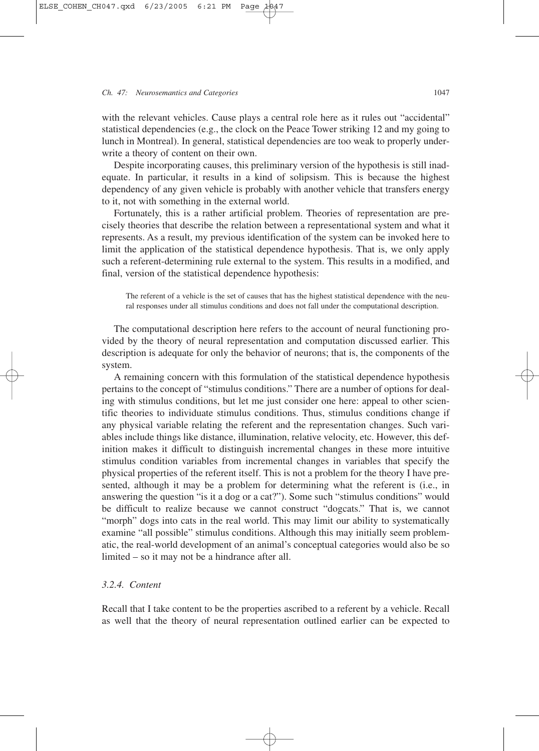with the relevant vehicles. Cause plays a central role here as it rules out "accidental" statistical dependencies (e.g., the clock on the Peace Tower striking 12 and my going to lunch in Montreal). In general, statistical dependencies are too weak to properly underwrite a theory of content on their own.

Despite incorporating causes, this preliminary version of the hypothesis is still inadequate. In particular, it results in a kind of solipsism. This is because the highest dependency of any given vehicle is probably with another vehicle that transfers energy to it, not with something in the external world.

Fortunately, this is a rather artificial problem. Theories of representation are precisely theories that describe the relation between a representational system and what it represents. As a result, my previous identification of the system can be invoked here to limit the application of the statistical dependence hypothesis. That is, we only apply such a referent-determining rule external to the system. This results in a modified, and final, version of the statistical dependence hypothesis:

The referent of a vehicle is the set of causes that has the highest statistical dependence with the neural responses under all stimulus conditions and does not fall under the computational description.

The computational description here refers to the account of neural functioning provided by the theory of neural representation and computation discussed earlier. This description is adequate for only the behavior of neurons; that is, the components of the system.

A remaining concern with this formulation of the statistical dependence hypothesis pertains to the concept of "stimulus conditions." There are a number of options for dealing with stimulus conditions, but let me just consider one here: appeal to other scientific theories to individuate stimulus conditions. Thus, stimulus conditions change if any physical variable relating the referent and the representation changes. Such variables include things like distance, illumination, relative velocity, etc. However, this definition makes it difficult to distinguish incremental changes in these more intuitive stimulus condition variables from incremental changes in variables that specify the physical properties of the referent itself. This is not a problem for the theory I have presented, although it may be a problem for determining what the referent is (i.e., in answering the question "is it a dog or a cat?"). Some such "stimulus conditions" would be difficult to realize because we cannot construct "dogcats." That is, we cannot "morph" dogs into cats in the real world. This may limit our ability to systematically examine "all possible" stimulus conditions. Although this may initially seem problematic, the real-world development of an animal's conceptual categories would also be so limited – so it may not be a hindrance after all.

## *3.2.4. Content*

Recall that I take content to be the properties ascribed to a referent by a vehicle. Recall as well that the theory of neural representation outlined earlier can be expected to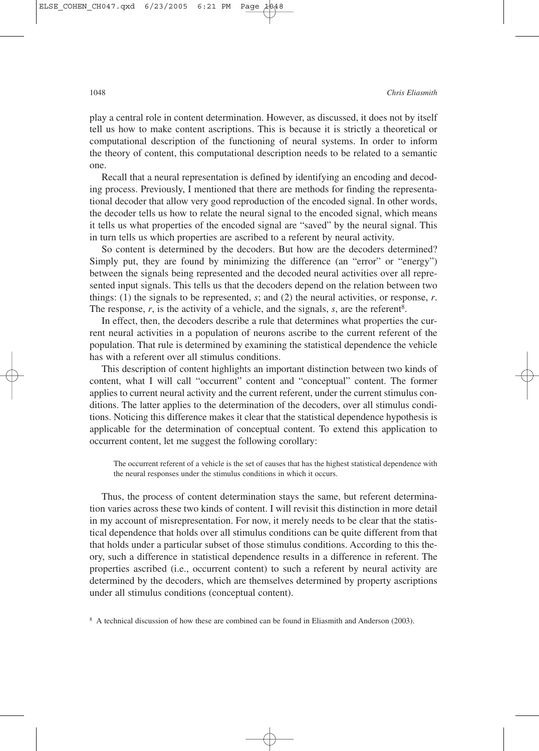play a central role in content determination. However, as discussed, it does not by itself tell us how to make content ascriptions. This is because it is strictly a theoretical or computational description of the functioning of neural systems. In order to inform the theory of content, this computational description needs to be related to a semantic one.

Recall that a neural representation is defined by identifying an encoding and decoding process. Previously, I mentioned that there are methods for finding the representational decoder that allow very good reproduction of the encoded signal. In other words, the decoder tells us how to relate the neural signal to the encoded signal, which means it tells us what properties of the encoded signal are "saved" by the neural signal. This in turn tells us which properties are ascribed to a referent by neural activity.

So content is determined by the decoders. But how are the decoders determined? Simply put, they are found by minimizing the difference (an "error" or "energy") between the signals being represented and the decoded neural activities over all represented input signals. This tells us that the decoders depend on the relation between two things: (1) the signals to be represented,  $s$ ; and (2) the neural activities, or response,  $r$ . The response,  $r$ , is the activity of a vehicle, and the signals,  $s$ , are the referent<sup>8</sup>.

In effect, then, the decoders describe a rule that determines what properties the current neural activities in a population of neurons ascribe to the current referent of the population. That rule is determined by examining the statistical dependence the vehicle has with a referent over all stimulus conditions.

This description of content highlights an important distinction between two kinds of content, what I will call "occurrent" content and "conceptual" content. The former applies to current neural activity and the current referent, under the current stimulus conditions. The latter applies to the determination of the decoders, over all stimulus conditions. Noticing this difference makes it clear that the statistical dependence hypothesis is applicable for the determination of conceptual content. To extend this application to occurrent content, let me suggest the following corollary:

The occurrent referent of a vehicle is the set of causes that has the highest statistical dependence with the neural responses under the stimulus conditions in which it occurs.

Thus, the process of content determination stays the same, but referent determination varies across these two kinds of content. I will revisit this distinction in more detail in my account of misrepresentation. For now, it merely needs to be clear that the statistical dependence that holds over all stimulus conditions can be quite different from that that holds under a particular subset of those stimulus conditions. According to this theory, such a difference in statistical dependence results in a difference in referent. The properties ascribed (i.e., occurrent content) to such a referent by neural activity are determined by the decoders, which are themselves determined by property ascriptions under all stimulus conditions (conceptual content).

<sup>8</sup> A technical discussion of how these are combined can be found in Eliasmith and Anderson (2003).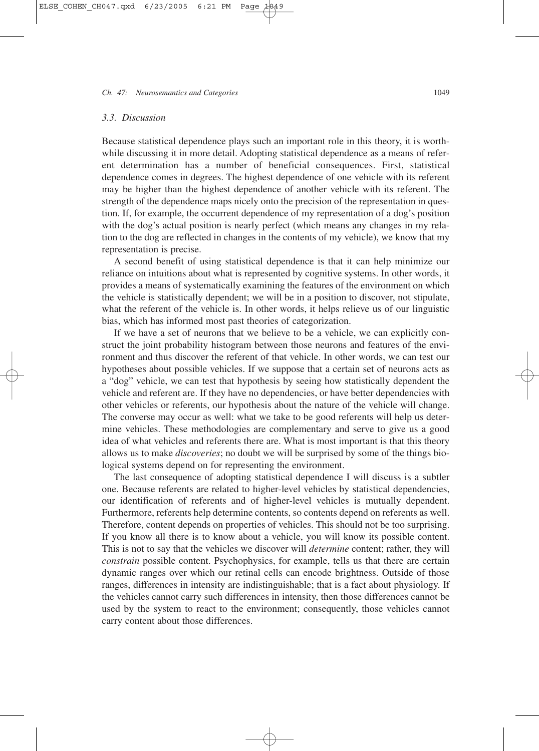#### *3.3. Discussion*

Because statistical dependence plays such an important role in this theory, it is worthwhile discussing it in more detail. Adopting statistical dependence as a means of referent determination has a number of beneficial consequences. First, statistical dependence comes in degrees. The highest dependence of one vehicle with its referent may be higher than the highest dependence of another vehicle with its referent. The strength of the dependence maps nicely onto the precision of the representation in question. If, for example, the occurrent dependence of my representation of a dog's position with the dog's actual position is nearly perfect (which means any changes in my relation to the dog are reflected in changes in the contents of my vehicle), we know that my representation is precise.

A second benefit of using statistical dependence is that it can help minimize our reliance on intuitions about what is represented by cognitive systems. In other words, it provides a means of systematically examining the features of the environment on which the vehicle is statistically dependent; we will be in a position to discover, not stipulate, what the referent of the vehicle is. In other words, it helps relieve us of our linguistic bias, which has informed most past theories of categorization.

If we have a set of neurons that we believe to be a vehicle, we can explicitly construct the joint probability histogram between those neurons and features of the environment and thus discover the referent of that vehicle. In other words, we can test our hypotheses about possible vehicles. If we suppose that a certain set of neurons acts as a "dog" vehicle, we can test that hypothesis by seeing how statistically dependent the vehicle and referent are. If they have no dependencies, or have better dependencies with other vehicles or referents, our hypothesis about the nature of the vehicle will change. The converse may occur as well: what we take to be good referents will help us determine vehicles. These methodologies are complementary and serve to give us a good idea of what vehicles and referents there are. What is most important is that this theory allows us to make *discoveries*; no doubt we will be surprised by some of the things biological systems depend on for representing the environment.

The last consequence of adopting statistical dependence I will discuss is a subtler one. Because referents are related to higher-level vehicles by statistical dependencies, our identification of referents and of higher-level vehicles is mutually dependent. Furthermore, referents help determine contents, so contents depend on referents as well. Therefore, content depends on properties of vehicles. This should not be too surprising. If you know all there is to know about a vehicle, you will know its possible content. This is not to say that the vehicles we discover will *determine* content; rather, they will *constrain* possible content. Psychophysics, for example, tells us that there are certain dynamic ranges over which our retinal cells can encode brightness. Outside of those ranges, differences in intensity are indistinguishable; that is a fact about physiology. If the vehicles cannot carry such differences in intensity, then those differences cannot be used by the system to react to the environment; consequently, those vehicles cannot carry content about those differences.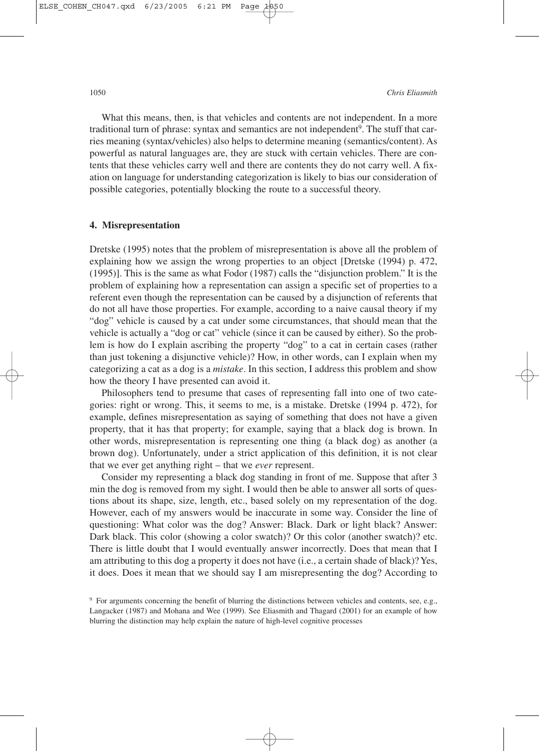What this means, then, is that vehicles and contents are not independent. In a more traditional turn of phrase: syntax and semantics are not independent<sup>9</sup>. The stuff that carries meaning (syntax/vehicles) also helps to determine meaning (semantics/content). As powerful as natural languages are, they are stuck with certain vehicles. There are contents that these vehicles carry well and there are contents they do not carry well. A fixation on language for understanding categorization is likely to bias our consideration of possible categories, potentially blocking the route to a successful theory.

## **4. Misrepresentation**

Dretske (1995) notes that the problem of misrepresentation is above all the problem of explaining how we assign the wrong properties to an object [Dretske (1994) p. 472, (1995)]. This is the same as what Fodor (1987) calls the "disjunction problem." It is the problem of explaining how a representation can assign a specific set of properties to a referent even though the representation can be caused by a disjunction of referents that do not all have those properties. For example, according to a naive causal theory if my "dog" vehicle is caused by a cat under some circumstances, that should mean that the vehicle is actually a "dog or cat" vehicle (since it can be caused by either). So the problem is how do I explain ascribing the property "dog" to a cat in certain cases (rather than just tokening a disjunctive vehicle)? How, in other words, can I explain when my categorizing a cat as a dog is a *mistake*. In this section, I address this problem and show how the theory I have presented can avoid it.

Philosophers tend to presume that cases of representing fall into one of two categories: right or wrong. This, it seems to me, is a mistake. Dretske (1994 p. 472), for example, defines misrepresentation as saying of something that does not have a given property, that it has that property; for example, saying that a black dog is brown. In other words, misrepresentation is representing one thing (a black dog) as another (a brown dog). Unfortunately, under a strict application of this definition, it is not clear that we ever get anything right – that we *ever* represent.

Consider my representing a black dog standing in front of me. Suppose that after 3 min the dog is removed from my sight. I would then be able to answer all sorts of questions about its shape, size, length, etc., based solely on my representation of the dog. However, each of my answers would be inaccurate in some way. Consider the line of questioning: What color was the dog? Answer: Black. Dark or light black? Answer: Dark black. This color (showing a color swatch)? Or this color (another swatch)? etc. There is little doubt that I would eventually answer incorrectly. Does that mean that I am attributing to this dog a property it does not have (i.e., a certain shade of black)? Yes, it does. Does it mean that we should say I am misrepresenting the dog? According to

<sup>9</sup> For arguments concerning the benefit of blurring the distinctions between vehicles and contents, see, e.g., Langacker (1987) and Mohana and Wee (1999). See Eliasmith and Thagard (2001) for an example of how blurring the distinction may help explain the nature of high-level cognitive processes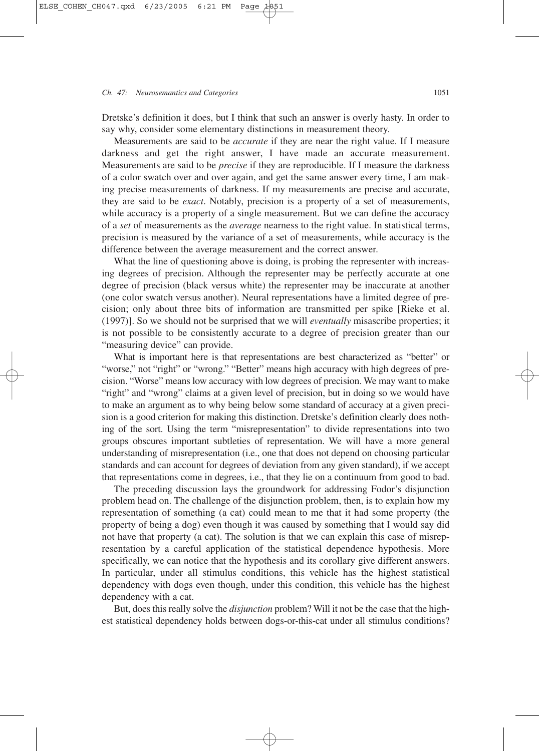ELSE\_COHEN\_CH047.qxd 6/23/2005 6:21 PM Page 1051

Dretske's definition it does, but I think that such an answer is overly hasty. In order to say why, consider some elementary distinctions in measurement theory.

Measurements are said to be *accurate* if they are near the right value. If I measure darkness and get the right answer, I have made an accurate measurement. Measurements are said to be *precise* if they are reproducible. If I measure the darkness of a color swatch over and over again, and get the same answer every time, I am making precise measurements of darkness. If my measurements are precise and accurate, they are said to be *exact*. Notably, precision is a property of a set of measurements, while accuracy is a property of a single measurement. But we can define the accuracy of a *set* of measurements as the *average* nearness to the right value. In statistical terms, precision is measured by the variance of a set of measurements, while accuracy is the difference between the average measurement and the correct answer.

What the line of questioning above is doing, is probing the representer with increasing degrees of precision. Although the representer may be perfectly accurate at one degree of precision (black versus white) the representer may be inaccurate at another (one color swatch versus another). Neural representations have a limited degree of precision; only about three bits of information are transmitted per spike [Rieke et al. (1997)]. So we should not be surprised that we will *eventually* misascribe properties; it is not possible to be consistently accurate to a degree of precision greater than our "measuring device" can provide.

What is important here is that representations are best characterized as "better" or "worse," not "right" or "wrong." "Better" means high accuracy with high degrees of precision. "Worse" means low accuracy with low degrees of precision. We may want to make "right" and "wrong" claims at a given level of precision, but in doing so we would have to make an argument as to why being below some standard of accuracy at a given precision is a good criterion for making this distinction. Dretske's definition clearly does nothing of the sort. Using the term "misrepresentation" to divide representations into two groups obscures important subtleties of representation. We will have a more general understanding of misrepresentation (i.e., one that does not depend on choosing particular standards and can account for degrees of deviation from any given standard), if we accept that representations come in degrees, i.e., that they lie on a continuum from good to bad.

The preceding discussion lays the groundwork for addressing Fodor's disjunction problem head on. The challenge of the disjunction problem, then, is to explain how my representation of something (a cat) could mean to me that it had some property (the property of being a dog) even though it was caused by something that I would say did not have that property (a cat). The solution is that we can explain this case of misrepresentation by a careful application of the statistical dependence hypothesis. More specifically, we can notice that the hypothesis and its corollary give different answers. In particular, under all stimulus conditions, this vehicle has the highest statistical dependency with dogs even though, under this condition, this vehicle has the highest dependency with a cat.

But, does this really solve the *disjunction* problem? Will it not be the case that the highest statistical dependency holds between dogs-or-this-cat under all stimulus conditions?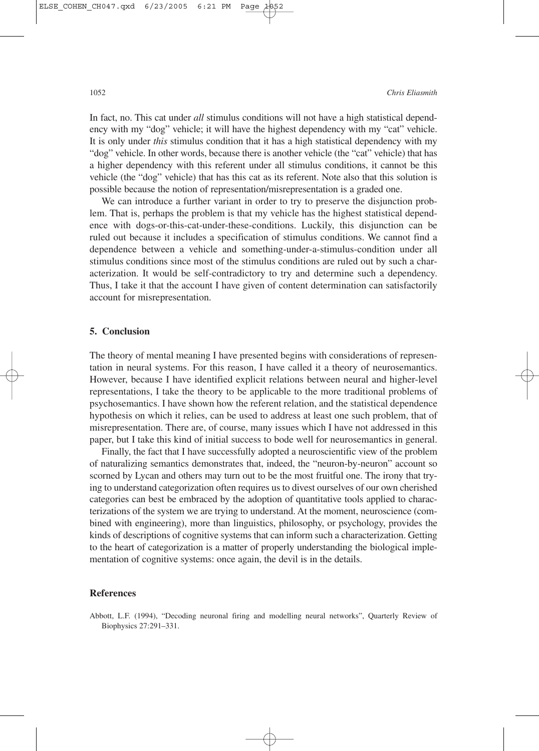In fact, no. This cat under *all* stimulus conditions will not have a high statistical dependency with my "dog" vehicle; it will have the highest dependency with my "cat" vehicle. It is only under *this* stimulus condition that it has a high statistical dependency with my "dog" vehicle. In other words, because there is another vehicle (the "cat" vehicle) that has a higher dependency with this referent under all stimulus conditions, it cannot be this vehicle (the "dog" vehicle) that has this cat as its referent. Note also that this solution is possible because the notion of representation/misrepresentation is a graded one.

We can introduce a further variant in order to try to preserve the disjunction problem. That is, perhaps the problem is that my vehicle has the highest statistical dependence with dogs-or-this-cat-under-these-conditions. Luckily, this disjunction can be ruled out because it includes a specification of stimulus conditions. We cannot find a dependence between a vehicle and something-under-a-stimulus-condition under all stimulus conditions since most of the stimulus conditions are ruled out by such a characterization. It would be self-contradictory to try and determine such a dependency. Thus, I take it that the account I have given of content determination can satisfactorily account for misrepresentation.

## **5. Conclusion**

The theory of mental meaning I have presented begins with considerations of representation in neural systems. For this reason, I have called it a theory of neurosemantics. However, because I have identified explicit relations between neural and higher-level representations, I take the theory to be applicable to the more traditional problems of psychosemantics. I have shown how the referent relation, and the statistical dependence hypothesis on which it relies, can be used to address at least one such problem, that of misrepresentation. There are, of course, many issues which I have not addressed in this paper, but I take this kind of initial success to bode well for neurosemantics in general.

Finally, the fact that I have successfully adopted a neuroscientific view of the problem of naturalizing semantics demonstrates that, indeed, the "neuron-by-neuron" account so scorned by Lycan and others may turn out to be the most fruitful one. The irony that trying to understand categorization often requires us to divest ourselves of our own cherished categories can best be embraced by the adoption of quantitative tools applied to characterizations of the system we are trying to understand. At the moment, neuroscience (combined with engineering), more than linguistics, philosophy, or psychology, provides the kinds of descriptions of cognitive systems that can inform such a characterization. Getting to the heart of categorization is a matter of properly understanding the biological implementation of cognitive systems: once again, the devil is in the details.

#### **References**

Abbott, L.F. (1994), "Decoding neuronal firing and modelling neural networks", Quarterly Review of Biophysics 27:291–331.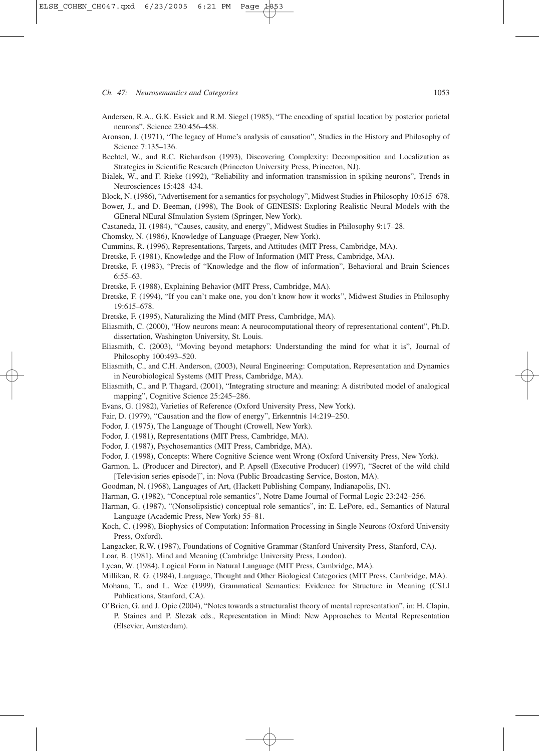- Andersen, R.A., G.K. Essick and R.M. Siegel (1985), "The encoding of spatial location by posterior parietal neurons", Science 230:456–458.
- Aronson, J. (1971), "The legacy of Hume's analysis of causation", Studies in the History and Philosophy of Science 7:135–136.
- Bechtel, W., and R.C. Richardson (1993), Discovering Complexity: Decomposition and Localization as Strategies in Scientific Research (Princeton University Press, Princeton, NJ).
- Bialek, W., and F. Rieke (1992), "Reliability and information transmission in spiking neurons", Trends in Neurosciences 15:428–434.
- Block, N. (1986), "Advertisement for a semantics for psychology", Midwest Studies in Philosophy 10:615–678.
- Bower, J., and D. Beeman, (1998), The Book of GENESIS: Exploring Realistic Neural Models with the GEneral NEural SImulation System (Springer, New York).

Castaneda, H. (1984), "Causes, causity, and energy", Midwest Studies in Philosophy 9:17–28.

Chomsky, N. (1986), Knowledge of Language (Praeger, New York).

- Cummins, R. (1996), Representations, Targets, and Attitudes (MIT Press, Cambridge, MA).
- Dretske, F. (1981), Knowledge and the Flow of Information (MIT Press, Cambridge, MA).
- Dretske, F. (1983), "Precis of "Knowledge and the flow of information", Behavioral and Brain Sciences 6:55–63.
- Dretske, F. (1988), Explaining Behavior (MIT Press, Cambridge, MA).
- Dretske, F. (1994), "If you can't make one, you don't know how it works", Midwest Studies in Philosophy 19:615–678.
- Dretske, F. (1995), Naturalizing the Mind (MIT Press, Cambridge, MA).

Eliasmith, C. (2000), "How neurons mean: A neurocomputational theory of representational content", Ph.D. dissertation, Washington University, St. Louis.

- Eliasmith, C. (2003), "Moving beyond metaphors: Understanding the mind for what it is", Journal of Philosophy 100:493–520.
- Eliasmith, C., and C.H. Anderson, (2003), Neural Engineering: Computation, Representation and Dynamics in Neurobiological Systems (MIT Press, Cambridge, MA).
- Eliasmith, C., and P. Thagard, (2001), "Integrating structure and meaning: A distributed model of analogical mapping", Cognitive Science 25:245–286.
- Evans, G. (1982), Varieties of Reference (Oxford University Press, New York).

Fair, D. (1979), "Causation and the flow of energy", Erkenntnis 14:219–250.

Fodor, J. (1975), The Language of Thought (Crowell, New York).

Fodor, J. (1981), Representations (MIT Press, Cambridge, MA).

Fodor, J. (1987), Psychosemantics (MIT Press, Cambridge, MA).

Fodor, J. (1998), Concepts: Where Cognitive Science went Wrong (Oxford University Press, New York).

- Garmon, L. (Producer and Director), and P. Apsell (Executive Producer) (1997), "Secret of the wild child [Television series episode]", in: Nova (Public Broadcasting Service, Boston, MA).
- Goodman, N. (1968), Languages of Art, (Hackett Publishing Company, Indianapolis, IN).
- Harman, G. (1982), "Conceptual role semantics", Notre Dame Journal of Formal Logic 23:242–256.
- Harman, G. (1987), "(Nonsolipsistic) conceptual role semantics", in: E. LePore, ed., Semantics of Natural Language (Academic Press, New York) 55–81.
- Koch, C. (1998), Biophysics of Computation: Information Processing in Single Neurons (Oxford University Press, Oxford).
- Langacker, R.W. (1987), Foundations of Cognitive Grammar (Stanford University Press, Stanford, CA).
- Loar, B. (1981), Mind and Meaning (Cambridge University Press, London).

Lycan, W. (1984), Logical Form in Natural Language (MIT Press, Cambridge, MA).

- Millikan, R. G. (1984), Language, Thought and Other Biological Categories (MIT Press, Cambridge, MA).
- Mohana, T., and L. Wee (1999), Grammatical Semantics: Evidence for Structure in Meaning (CSLI Publications, Stanford, CA).
- O'Brien, G. and J. Opie (2004), "Notes towards a structuralist theory of mental representation", in: H. Clapin, P. Staines and P. Slezak eds., Representation in Mind: New Approaches to Mental Representation (Elsevier, Amsterdam).